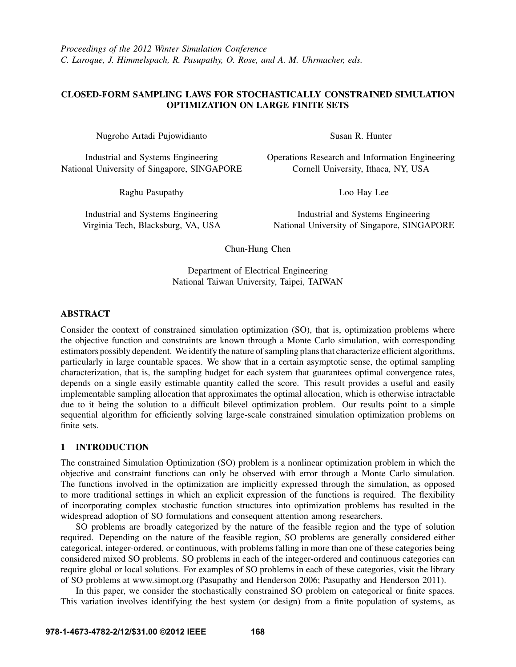# CLOSED-FORM SAMPLING LAWS FOR STOCHASTICALLY CONSTRAINED SIMULATION OPTIMIZATION ON LARGE FINITE SETS

Nugroho Artadi Pujowidianto

Industrial and Systems Engineering National University of Singapore, SINGAPORE

Raghu Pasupathy

Industrial and Systems Engineering Virginia Tech, Blacksburg, VA, USA Susan R. Hunter

Operations Research and Information Engineering Cornell University, Ithaca, NY, USA

Loo Hay Lee

Industrial and Systems Engineering National University of Singapore, SINGAPORE

Chun-Hung Chen

Department of Electrical Engineering National Taiwan University, Taipei, TAIWAN

# ABSTRACT

Consider the context of constrained simulation optimization (SO), that is, optimization problems where the objective function and constraints are known through a Monte Carlo simulation, with corresponding estimators possibly dependent. We identify the nature of sampling plans that characterize efficient algorithms, particularly in large countable spaces. We show that in a certain asymptotic sense, the optimal sampling characterization, that is, the sampling budget for each system that guarantees optimal convergence rates, depends on a single easily estimable quantity called the score. This result provides a useful and easily implementable sampling allocation that approximates the optimal allocation, which is otherwise intractable due to it being the solution to a difficult bilevel optimization problem. Our results point to a simple sequential algorithm for efficiently solving large-scale constrained simulation optimization problems on finite sets.

# 1 INTRODUCTION

The constrained Simulation Optimization (SO) problem is a nonlinear optimization problem in which the objective and constraint functions can only be observed with error through a Monte Carlo simulation. The functions involved in the optimization are implicitly expressed through the simulation, as opposed to more traditional settings in which an explicit expression of the functions is required. The flexibility of incorporating complex stochastic function structures into optimization problems has resulted in the widespread adoption of SO formulations and consequent attention among researchers.

SO problems are broadly categorized by the nature of the feasible region and the type of solution required. Depending on the nature of the feasible region, SO problems are generally considered either categorical, integer-ordered, or continuous, with problems falling in more than one of these categories being considered mixed SO problems. SO problems in each of the integer-ordered and continuous categories can require global or local solutions. For examples of SO problems in each of these categories, visit the library of SO problems at www.simopt.org (Pasupathy and Henderson 2006; Pasupathy and Henderson 2011).

In this paper, we consider the stochastically constrained SO problem on categorical or finite spaces. This variation involves identifying the best system (or design) from a finite population of systems, as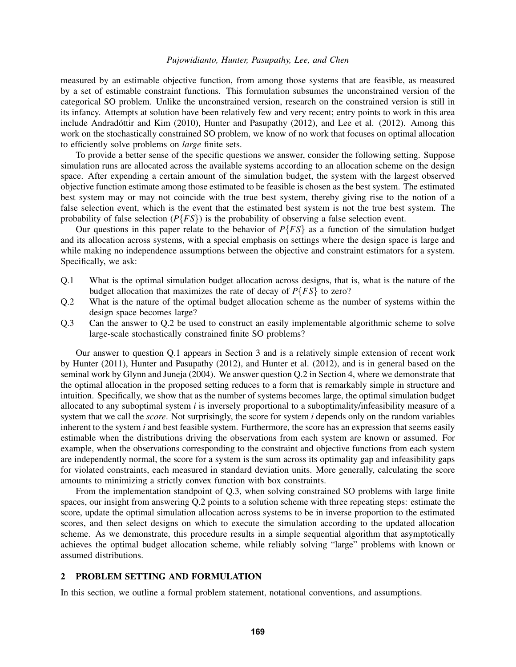## *Pujowidianto, Hunter, Pasupathy, Lee, and Chen*

measured by an estimable objective function, from among those systems that are feasible, as measured by a set of estimable constraint functions. This formulation subsumes the unconstrained version of the categorical SO problem. Unlike the unconstrained version, research on the constrained version is still in its infancy. Attempts at solution have been relatively few and very recent; entry points to work in this area include Andradóttir and Kim  $(2010)$ , Hunter and Pasupathy  $(2012)$ , and Lee et al.  $(2012)$ . Among this work on the stochastically constrained SO problem, we know of no work that focuses on optimal allocation to efficiently solve problems on *large* finite sets.

To provide a better sense of the specific questions we answer, consider the following setting. Suppose simulation runs are allocated across the available systems according to an allocation scheme on the design space. After expending a certain amount of the simulation budget, the system with the largest observed objective function estimate among those estimated to be feasible is chosen as the best system. The estimated best system may or may not coincide with the true best system, thereby giving rise to the notion of a false selection event, which is the event that the estimated best system is not the true best system. The probability of false selection (*P*{*FS*}) is the probability of observing a false selection event.

Our questions in this paper relate to the behavior of  $P\{FS\}$  as a function of the simulation budget and its allocation across systems, with a special emphasis on settings where the design space is large and while making no independence assumptions between the objective and constraint estimators for a system. Specifically, we ask:

- Q.1 What is the optimal simulation budget allocation across designs, that is, what is the nature of the budget allocation that maximizes the rate of decay of  $P{FS}$  to zero?
- Q.2 What is the nature of the optimal budget allocation scheme as the number of systems within the design space becomes large?
- Q.3 Can the answer to Q.2 be used to construct an easily implementable algorithmic scheme to solve large-scale stochastically constrained finite SO problems?

Our answer to question Q.1 appears in Section 3 and is a relatively simple extension of recent work by Hunter (2011), Hunter and Pasupathy (2012), and Hunter et al. (2012), and is in general based on the seminal work by Glynn and Juneja (2004). We answer question Q.2 in Section 4, where we demonstrate that the optimal allocation in the proposed setting reduces to a form that is remarkably simple in structure and intuition. Specifically, we show that as the number of systems becomes large, the optimal simulation budget allocated to any suboptimal system *i* is inversely proportional to a suboptimality/infeasibility measure of a system that we call the *score*. Not surprisingly, the score for system *i* depends only on the random variables inherent to the system *i* and best feasible system. Furthermore, the score has an expression that seems easily estimable when the distributions driving the observations from each system are known or assumed. For example, when the observations corresponding to the constraint and objective functions from each system are independently normal, the score for a system is the sum across its optimality gap and infeasibility gaps for violated constraints, each measured in standard deviation units. More generally, calculating the score amounts to minimizing a strictly convex function with box constraints.

From the implementation standpoint of Q.3, when solving constrained SO problems with large finite spaces, our insight from answering Q.2 points to a solution scheme with three repeating steps: estimate the score, update the optimal simulation allocation across systems to be in inverse proportion to the estimated scores, and then select designs on which to execute the simulation according to the updated allocation scheme. As we demonstrate, this procedure results in a simple sequential algorithm that asymptotically achieves the optimal budget allocation scheme, while reliably solving "large" problems with known or assumed distributions.

## 2 PROBLEM SETTING AND FORMULATION

In this section, we outline a formal problem statement, notational conventions, and assumptions.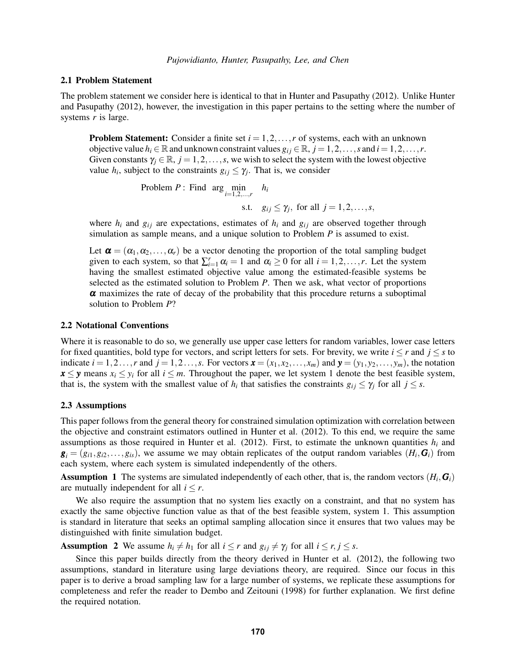#### 2.1 Problem Statement

The problem statement we consider here is identical to that in Hunter and Pasupathy (2012). Unlike Hunter and Pasupathy (2012), however, the investigation in this paper pertains to the setting where the number of systems *r* is large.

**Problem Statement:** Consider a finite set  $i = 1, 2, \ldots, r$  of systems, each with an unknown objective value  $h_i \in \mathbb{R}$  and unknown constraint values  $g_{ij} \in \mathbb{R}$ ,  $j = 1, 2, ..., s$  and  $i = 1, 2, ..., r$ . Given constants  $\gamma_i \in \mathbb{R}, j = 1, 2, \ldots, s$ , we wish to select the system with the lowest objective value  $h_i$ , subject to the constraints  $g_{ij} \leq \gamma_j$ . That is, we consider

Problem P: Find arg min  
s.t. 
$$
g_{ij} \leq \gamma_j
$$
, for all  $j = 1, 2, ..., s$ ,

where  $h_i$  and  $g_{ij}$  are expectations, estimates of  $h_i$  and  $g_{ij}$  are observed together through simulation as sample means, and a unique solution to Problem *P* is assumed to exist.

Let  $\boldsymbol{\alpha} = (\alpha_1, \alpha_2, \dots, \alpha_r)$  be a vector denoting the proportion of the total sampling budget given to each system, so that  $\sum_{i=1}^{r} \alpha_i = 1$  and  $\alpha_i \geq 0$  for all  $i = 1, 2, ..., r$ . Let the system having the smallest estimated objective value among the estimated-feasible systems be selected as the estimated solution to Problem *P*. Then we ask, what vector of proportions  $\alpha$  maximizes the rate of decay of the probability that this procedure returns a suboptimal solution to Problem *P*?

#### 2.2 Notational Conventions

Where it is reasonable to do so, we generally use upper case letters for random variables, lower case letters for fixed quantities, bold type for vectors, and script letters for sets. For brevity, we write  $i \leq r$  and  $j \leq s$  to indicate  $i = 1, 2, \ldots, r$  and  $j = 1, 2, \ldots, s$ . For vectors  $\mathbf{x} = (x_1, x_2, \ldots, x_m)$  and  $\mathbf{y} = (y_1, y_2, \ldots, y_m)$ , the notation  $x \leq y$  means  $x_i \leq y_i$  for all  $i \leq m$ . Throughout the paper, we let system 1 denote the best feasible system, that is, the system with the smallest value of  $h_i$  that satisfies the constraints  $g_{ij} \leq \gamma_j$  for all  $j \leq s$ .

### 2.3 Assumptions

This paper follows from the general theory for constrained simulation optimization with correlation between the objective and constraint estimators outlined in Hunter et al. (2012). To this end, we require the same assumptions as those required in Hunter et al. (2012). First, to estimate the unknown quantities  $h_i$  and  $g_i = (g_{i1}, g_{i2}, \ldots, g_{is})$ , we assume we may obtain replicates of the output random variables  $(H_i, G_i)$  from each system, where each system is simulated independently of the others.

Assumption 1 The systems are simulated independently of each other, that is, the random vectors  $(H_i, G_i)$ are mutually independent for all  $i \leq r$ .

We also require the assumption that no system lies exactly on a constraint, and that no system has exactly the same objective function value as that of the best feasible system, system 1. This assumption is standard in literature that seeks an optimal sampling allocation since it ensures that two values may be distinguished with finite simulation budget.

**Assumption 2** We assume  $h_i \neq h_1$  for all  $i \leq r$  and  $g_{ij} \neq \gamma_j$  for all  $i \leq r, j \leq s$ .

Since this paper builds directly from the theory derived in Hunter et al. (2012), the following two assumptions, standard in literature using large deviations theory, are required. Since our focus in this paper is to derive a broad sampling law for a large number of systems, we replicate these assumptions for completeness and refer the reader to Dembo and Zeitouni (1998) for further explanation. We first define the required notation.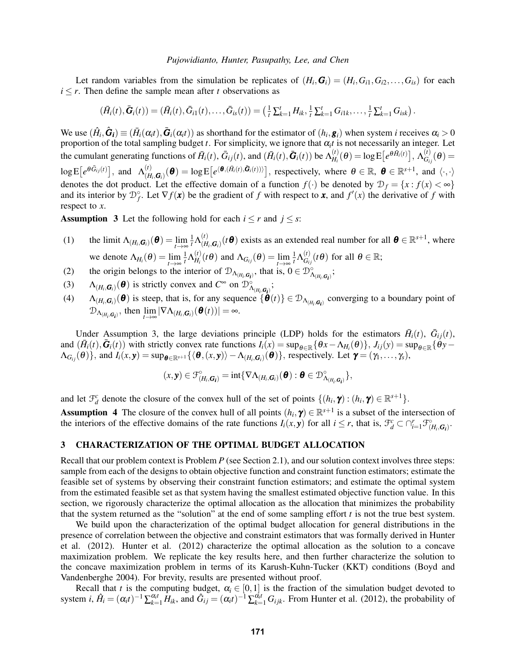### *Pujowidianto, Hunter, Pasupathy, Lee, and Chen*

Let random variables from the simulation be replicates of  $(H_i, G_i) = (H_i, G_{i1}, G_{i2}, \ldots, G_{is})$  for each  $i \leq r$ . Then define the sample mean after *t* observations as

$$
(\bar{H}_i(t),\bar{G}_i(t))=(\bar{H}_i(t),\bar{G}_{i1}(t),\ldots,\bar{G}_{is}(t))=(\frac{1}{t}\sum_{k=1}^tH_{ik},\frac{1}{t}\sum_{k=1}^tG_{i1k},\ldots,\frac{1}{t}\sum_{k=1}^tG_{isk}).
$$

We use  $(\hat{H}_i, \hat{G}_i) \equiv (\bar{H}_i(\alpha_i t), \bar{G}_i(\alpha_i t))$  as shorthand for the estimator of  $(h_i, g_i)$  when system *i* receives  $\alpha_i > 0$ proportion of the total sampling budget  $t$ . For simplicity, we ignore that  $\alpha_i t$  is not necessarily an integer. Let the cumulant generating functions of  $\bar{H}_i(t)$ ,  $\bar{G}_{ij}(t)$ , and  $(\bar{H}_i(t), \bar{G}_i(t))$  be  $\Lambda_{H_i}^{(t)}$  $\mathcal{H}_i^{(t)}(\boldsymbol{\theta}) = \log \mathrm{E}\big[e^{\boldsymbol{\theta}\bar{H}_i(t)}\big], \, \Lambda_{G_{i,t}}^{(t)}$  $\overset{(t)}{G_{ij}}(\bm{\theta}) =$  $\log \mathrm{E}\left[e^{\theta \bar{G}_{ij}(t)}\right]$ , and  $\Lambda_{(H)}^{(t)}$  $\mathcal{L}_{(H_i,G_i)}^{(t)}(\boldsymbol{\theta}) = \log \mathbb{E}\big[e^{\langle \boldsymbol{\theta}, (\bar{H}_i(t), \bar{\boldsymbol{G}}_i(t)) \rangle}\big]$ , respectively, where  $\boldsymbol{\theta} \in \mathbb{R}$ ,  $\boldsymbol{\theta} \in \mathbb{R}^{s+1}$ , and  $\langle \cdot, \cdot \rangle$ denotes the dot product. Let the effective domain of a function  $f(\cdot)$  be denoted by  $\mathcal{D}_f = \{x : f(x) < \infty\}$ and its interior by  $\mathcal{D}_f^{\circ}$ . Let  $\nabla f(\mathbf{x})$  be the gradient of *f* with respect to **x**, and  $f'(x)$  the derivative of *f* with respect to *x*.

**Assumption 3** Let the following hold for each  $i \leq r$  and  $j \leq s$ :

- (1) the limit  $\Lambda_{(H_i, \mathbf{G}_i)}(\boldsymbol{\theta}) = \lim_{t \to \infty} \frac{1}{t} \Lambda_{(H_i)}^{(t)}$ *t*→∞  $H_{(H_i, G_i)}^{(t)}(\mathbf{t}\boldsymbol{\theta})$  exists as an extended real number for all  $\boldsymbol{\theta} \in \mathbb{R}^{s+1}$ , where we denote  $\Lambda_{H_i}(\boldsymbol{\theta}) = \lim_{t \to \infty}$  $\frac{1}{t} \Lambda_{H_i}^{(t)}$  $\Lambda_{H_i}^{(t)}(t\theta)$  and  $\Lambda_{G_{ij}}(\theta) = \lim_{t \to \infty}$  $\frac{1}{t}\Lambda^{(t)}_{G_{l_i}}$  $G_i^{(t)}(t\theta)$  for all  $\theta \in \mathbb{R}$ ;
- (2) the origin belongs to the interior of  $\mathcal{D}_{\Lambda_{(H_i, G_i)}}$ , that is,  $0 \in \mathcal{D}^{\circ}_{\Lambda_{(H_i, G_i)}}$ ;
- (3)  $\Lambda_{(H_i, G_i)}(\boldsymbol{\theta})$  is strictly convex and  $C^{\infty}$  on  $\mathcal{D}^{\circ}_{\Lambda_{(H_i, G_i)}}$ ;
- (4)  $\Lambda_{(H_i, G_i)}(\boldsymbol{\theta})$  is steep, that is, for any sequence  $\{\boldsymbol{\theta}(t)\}\in \mathcal{D}_{\Lambda_{(H_i, G_i)}}$  converging to a boundary point of  $\mathcal{D}_{\Lambda_{(H_i, G_i)}},$  then  $\lim_{t \to \infty} |\nabla \Lambda_{(H_i, G_i)}(\boldsymbol{\theta}(t))| = \infty$ .

Under Assumption 3, the large deviations principle (LDP) holds for the estimators  $\bar{H}_i(t)$ ,  $\bar{G}_{ij}(t)$ , and  $(\bar{H}_i(t), \bar{G}_i(t))$  with strictly convex rate functions  $I_i(x) = \sup_{\theta \in \mathbb{R}} {\{\theta x - {\Lambda_{H_i}(\theta)}\}, \ J_{ij}(y) = \sup_{\theta \in \mathbb{R}} {\{\theta y - {\Lambda_{H_i}(\theta)}\} \}}$  $\Lambda_{G_{ij}}(\boldsymbol{\theta})\},$  and  $I_i(x, y) = \sup_{\boldsymbol{\theta} \in \mathbb{R}^{s+1}} \{ \langle \boldsymbol{\theta}, (x, y) \rangle - \Lambda_{(H_i, \mathbf{G}_i)}(\boldsymbol{\theta}) \}$ , respectively. Let  $\boldsymbol{\gamma} = (\gamma_1, \dots, \gamma_s)$ ,

$$
(x,\mathbf{y})\in \mathcal{F}^{\circ}_{(H_i,\mathbf{G_i})}=\mathrm{int}\{\nabla\Lambda_{(H_i,\mathbf{G}_i)}(\boldsymbol{\theta}):\boldsymbol{\theta}\in \mathcal{D}^{\circ}_{\Lambda_{(H_i,\mathbf{G_i})}}\},
$$

and let  $\mathcal{F}_d^c$  denote the closure of the convex hull of the set of points  $\{(h_i, \gamma) : (h_i, \gamma) \in \mathbb{R}^{s+1}\}.$ 

**Assumption 4** The closure of the convex hull of all points  $(h_i, \gamma) \in \mathbb{R}^{s+1}$  is a subset of the intersection of the interiors of the effective domains of the rate functions  $I_i(x, y)$  for all  $i \leq r$ , that is,  $\mathcal{F}_d^c \subset \bigcap_{i=1}^r \mathcal{F}_{(H_i, \mathbf{G}_i)}^c$ .

## 3 CHARACTERIZATION OF THE OPTIMAL BUDGET ALLOCATION

Recall that our problem context is Problem *P* (see Section 2.1), and our solution context involves three steps: sample from each of the designs to obtain objective function and constraint function estimators; estimate the feasible set of systems by observing their constraint function estimators; and estimate the optimal system from the estimated feasible set as that system having the smallest estimated objective function value. In this section, we rigorously characterize the optimal allocation as the allocation that minimizes the probability that the system returned as the "solution" at the end of some sampling effort  $t$  is not the true best system.

We build upon the characterization of the optimal budget allocation for general distributions in the presence of correlation between the objective and constraint estimators that was formally derived in Hunter et al. (2012). Hunter et al. (2012) characterize the optimal allocation as the solution to a concave maximization problem. We replicate the key results here, and then further characterize the solution to the concave maximization problem in terms of its Karush-Kuhn-Tucker (KKT) conditions (Boyd and Vandenberghe 2004). For brevity, results are presented without proof.

Recall that *t* is the computing budget,  $\alpha_i \in [0,1]$  is the fraction of the simulation budget devoted to system *i*,  $\hat{H}_i = (\alpha_i t)^{-1} \sum_{k=1}^{\alpha_i t} \hat{H}_{ik}$ , and  $\hat{G}_{ij} = (\alpha_i t)^{-1} \sum_{k=1}^{\alpha_i t} G_{ijk}$ . From Hunter et al. (2012), the probability of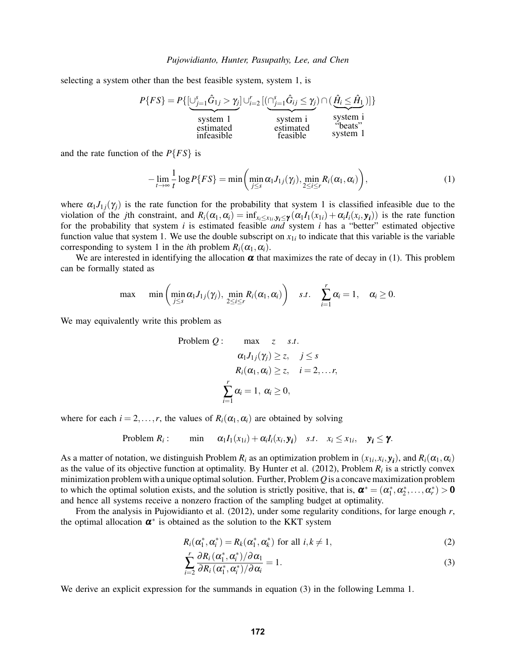selecting a system other than the best feasible system, system 1, is



and the rate function of the *P*{*FS*} is

$$
-\lim_{t\to\infty}\frac{1}{t}\log P\{FS\}=\min\left(\min_{j\leq s}\alpha_1J_{1j}(\gamma_j),\min_{2\leq i\leq r}R_i(\alpha_1,\alpha_i)\right),\tag{1}
$$

where  $\alpha_1 J_{1i}(\gamma_i)$  is the rate function for the probability that system 1 is classified infeasible due to the violation of the *j*th constraint, and  $R_i(\alpha_1, \alpha_i) = \inf_{x_i \le x_{1i}, y_i \le \gamma} (\alpha_1 I_1(x_{1i}) + \alpha_i I_i(x_i, y_i))$  is the rate function for the probability that system *i* is estimated feasible *and* system *i* has a "better" estimated objective function value that system 1. We use the double subscript on  $x_{1i}$  to indicate that this variable is the variable corresponding to system 1 in the *i*th problem  $R_i(\alpha_1, \alpha_i)$ .

We are interested in identifying the allocation  $\alpha$  that maximizes the rate of decay in (1). This problem can be formally stated as

$$
\max \quad \min \left( \min_{j \leq s} \alpha_1 J_{1j}(\gamma_j), \min_{2 \leq i \leq r} R_i(\alpha_1, \alpha_i) \right) \quad s.t. \quad \sum_{i=1}^r \alpha_i = 1, \quad \alpha_i \geq 0.
$$

We may equivalently write this problem as

Problem Q: max z s.t.  
\n
$$
\alpha_1 J_{1j}(\gamma_j) \ge z, \quad j \le s
$$
\n
$$
R_i(\alpha_1, \alpha_i) \ge z, \quad i = 2, ..., r,
$$
\n
$$
\sum_{i=1}^r \alpha_i = 1, \ \alpha_i \ge 0,
$$

where for each  $i = 2, ..., r$ , the values of  $R_i(\alpha_1, \alpha_i)$  are obtained by solving

Problem 
$$
R_i
$$
: min  $\alpha_1 I_1(x_{1i}) + \alpha_i I_i(x_i, y_i)$  s.t.  $x_i \le x_{1i}$ ,  $y_i \le \gamma$ .

As a matter of notation, we distinguish Problem  $R_i$  as an optimization problem in  $(x_{1i}, x_i, y_i)$ , and  $R_i(\alpha_1, \alpha_i)$ as the value of its objective function at optimality. By Hunter et al.  $(2012)$ , Problem  $R_i$  is a strictly convex minimization problem with a unique optimal solution. Further, Problem*Q* is a concave maximization problem to which the optimal solution exists, and the solution is strictly positive, that is,  $\boldsymbol{\alpha}^* = (\alpha_1^*, \alpha_2^*, \dots, \alpha_r^*) > 0$ and hence all systems receive a nonzero fraction of the sampling budget at optimality.

From the analysis in Pujowidianto et al. (2012), under some regularity conditions, for large enough *r*, the optimal allocation  $\alpha^*$  is obtained as the solution to the KKT system

$$
R_i(\alpha_1^*, \alpha_i^*) = R_k(\alpha_1^*, \alpha_k^*)
$$
 for all  $i, k \neq 1$ , (2)

$$
\sum_{i=2}^{r} \frac{\partial R_i(\alpha_1^*, \alpha_i^*)/\partial \alpha_1}{\partial R_i(\alpha_1^*, \alpha_i^*)/\partial \alpha_i} = 1.
$$
\n(3)

We derive an explicit expression for the summands in equation (3) in the following Lemma 1.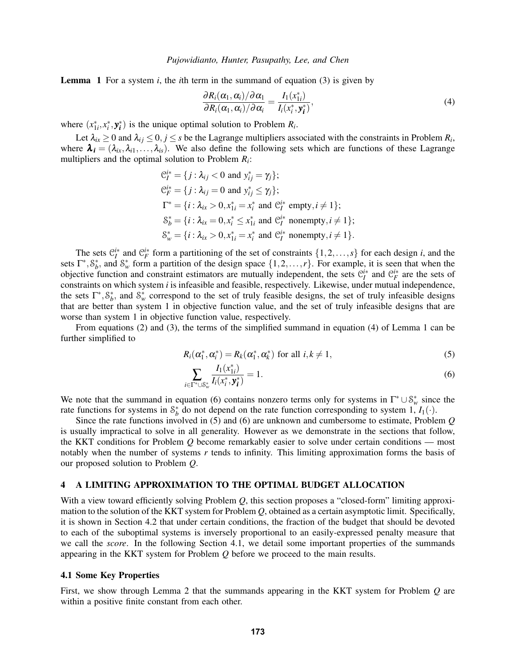Lemma 1 For a system *i*, the *i*th term in the summand of equation (3) is given by

$$
\frac{\partial R_i(\alpha_1, \alpha_i)/\partial \alpha_1}{\partial R_i(\alpha_1, \alpha_i)/\partial \alpha_i} = \frac{I_1(x_{1i}^*)}{I_i(x_i^*, \mathbf{y}_i^*)},\tag{4}
$$

where  $(x_{1i}^*, x_i^*, y_i^*)$  is the unique optimal solution to Problem  $R_i$ .

Let  $\lambda_{ix} \ge 0$  and  $\lambda_{ij} \le 0, j \le s$  be the Lagrange multipliers associated with the constraints in Problem  $R_i$ , where  $\lambda_i = (\lambda_{ix}, \lambda_{i1}, \dots, \lambda_{is})$ . We also define the following sets which are functions of these Lagrange multipliers and the optimal solution to Problem *R<sup>i</sup>* :

$$
C_I^{i*} = \{j : \lambda_{ij} < 0 \text{ and } y_{ij}^* = \gamma_j\};
$$
\n
$$
C_F^{i*} = \{j : \lambda_{ij} = 0 \text{ and } y_{ij}^* \le \gamma_j\};
$$
\n
$$
\Gamma^* = \{i : \lambda_{ix} > 0, x_{1i}^* = x_i^* \text{ and } C_I^{i*} \text{ empty}, i \ne 1\};
$$
\n
$$
\delta_b^* = \{i : \lambda_{ix} = 0, x_i^* \le x_{1i}^* \text{ and } C_I^{i*} \text{ nonempty}, i \ne 1\};
$$
\n
$$
\delta_w^* = \{i : \lambda_{ix} > 0, x_{1i}^* = x_i^* \text{ and } C_I^{i*} \text{ nonempty}, i \ne 1\}.
$$

The sets  $\mathcal{C}_I^{i*}$  and  $\mathcal{C}_F^{i*}$  form a partitioning of the set of constraints  $\{1,2,\ldots,s\}$  for each design *i*, and the sets  $\Gamma^*, \mathcal{S}_b^*$ , and  $\mathcal{S}_w^*$  form a partition of the design space  $\{1, 2, ..., r\}$ . For example, it is seen that when the objective function and constraint estimators are mutually independent, the sets  $C_I^{i*}$  and  $C_F^{i*}$  are the sets of constraints on which system *i* is infeasible and feasible, respectively. Likewise, under mutual independence, the sets  $\Gamma^*, \mathcal{S}_b^*$ , and  $\mathcal{S}_w^*$  correspond to the set of truly feasible designs, the set of truly infeasible designs that are better than system 1 in objective function value, and the set of truly infeasible designs that are worse than system 1 in objective function value, respectively.

From equations (2) and (3), the terms of the simplified summand in equation (4) of Lemma 1 can be further simplified to

$$
R_i(\alpha_1^*, \alpha_i^*) = R_k(\alpha_1^*, \alpha_k^*)
$$
 for all  $i, k \neq 1$ , (5)

$$
\sum_{i \in \Gamma^* \cup \mathcal{S}_w^*} \frac{I_1(x_{1i}^*)}{I_i(x_i^*, \mathbf{y_i^*})} = 1.
$$
\n(6)

We note that the summand in equation (6) contains nonzero terms only for systems in  $\Gamma^* \cup \mathcal{S}_w^*$  since the rate functions for systems in  $S_b^*$  do not depend on the rate function corresponding to system 1,  $I_1(\cdot)$ .

Since the rate functions involved in (5) and (6) are unknown and cumbersome to estimate, Problem *Q* is usually impractical to solve in all generality. However as we demonstrate in the sections that follow, the KKT conditions for Problem *Q* become remarkably easier to solve under certain conditions — most notably when the number of systems *r* tends to infinity. This limiting approximation forms the basis of our proposed solution to Problem *Q*.

#### 4 A LIMITING APPROXIMATION TO THE OPTIMAL BUDGET ALLOCATION

With a view toward efficiently solving Problem *Q*, this section proposes a "closed-form" limiting approximation to the solution of the KKT system for Problem *Q*, obtained as a certain asymptotic limit. Specifically, it is shown in Section 4.2 that under certain conditions, the fraction of the budget that should be devoted to each of the suboptimal systems is inversely proportional to an easily-expressed penalty measure that we call the *score*. In the following Section 4.1, we detail some important properties of the summands appearing in the KKT system for Problem *Q* before we proceed to the main results.

#### 4.1 Some Key Properties

First, we show through Lemma 2 that the summands appearing in the KKT system for Problem *Q* are within a positive finite constant from each other.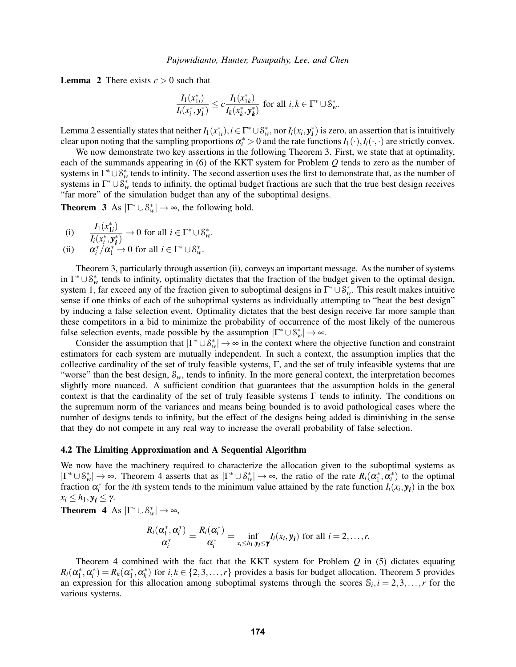**Lemma 2** There exists  $c > 0$  such that

$$
\frac{I_1(x_{1i}^*)}{I_i(x_i^*, \mathbf{y_i^*})} \leq c \frac{I_1(x_{1k}^*)}{I_k(x_k^*, \mathbf{y_k^*})} \text{ for all } i,k \in \Gamma^* \cup \mathcal{S}_w^*.
$$

Lemma 2 essentially states that neither  $I_1(x_{1i}^*)$ ,  $i \in \Gamma^* \cup \mathcal{S}_w^*$ , nor  $I_i(x_i, y_i^*)$  is zero, an assertion that is intuitively clear upon noting that the sampling proportions  $\alpha_i^* > 0$  and the rate functions  $I_1(\cdot), I_i(\cdot, \cdot)$  are strictly convex.

We now demonstrate two key assertions in the following Theorem 3. First, we state that at optimality, each of the summands appearing in (6) of the KKT system for Problem *Q* tends to zero as the number of systems in  $\Gamma^* \cup S_w^*$  tends to infinity. The second assertion uses the first to demonstrate that, as the number of systems in  $\Gamma^* \cup \mathcal{S}_w^*$  tends to infinity, the optimal budget fractions are such that the true best design receives "far more" of the simulation budget than any of the suboptimal designs.

**Theorem 3** As  $|\Gamma^* \cup \mathcal{S}_w^*| \to \infty$ , the following hold.

(i) 
$$
\frac{I_1(x_{1i}^*)}{I_i(x_i^*, \mathbf{y}_i^*)} \to 0 \text{ for all } i \in \Gamma^* \cup \mathcal{S}_w^*.
$$

(ii) 
$$
\alpha_i^* / \alpha_1^* \to 0
$$
 for all  $i \in \Gamma^* \cup \mathcal{S}_w^*$ .

Theorem 3, particularly through assertion (ii), conveys an important message. As the number of systems in  $\Gamma^* \cup \mathcal{S}_w^*$  tends to infinity, optimality dictates that the fraction of the budget given to the optimal design, system 1, far exceed any of the fraction given to suboptimal designs in  $\Gamma^* \cup \mathcal{S}_w^*$ . This result makes intuitive sense if one thinks of each of the suboptimal systems as individually attempting to "beat the best design" by inducing a false selection event. Optimality dictates that the best design receive far more sample than these competitors in a bid to minimize the probability of occurrence of the most likely of the numerous false selection events, made possible by the assumption  $|\Gamma^* \cup \mathcal{S}_w^*| \to \infty$ .

Consider the assumption that  $|\Gamma^* \cup \mathcal{S}_w^*| \to \infty$  in the context where the objective function and constraint estimators for each system are mutually independent. In such a context, the assumption implies that the collective cardinality of the set of truly feasible systems,  $\Gamma$ , and the set of truly infeasible systems that are "worse" than the best design,  $S_w$ , tends to infinity. In the more general context, the interpretation becomes slightly more nuanced. A sufficient condition that guarantees that the assumption holds in the general context is that the cardinality of the set of truly feasible systems Γ tends to infinity. The conditions on the supremum norm of the variances and means being bounded is to avoid pathological cases where the number of designs tends to infinity, but the effect of the designs being added is diminishing in the sense that they do not compete in any real way to increase the overall probability of false selection.

## 4.2 The Limiting Approximation and A Sequential Algorithm

We now have the machinery required to characterize the allocation given to the suboptimal systems as  $|\Gamma^* \cup \mathcal{S}_w^*| \to \infty$ . Theorem 4 asserts that as  $|\Gamma^* \cup \mathcal{S}_w^*| \to \infty$ , the ratio of the rate  $R_i(\alpha_1^*, \alpha_i^*)$  to the optimal fraction  $\alpha_i^*$  for the *i*th system tends to the minimum value attained by the rate function  $I_i(x_i, y_i)$  in the box  $x_i$  ≤  $h_1$ ,  $y_i$  ≤ γ.

**Theorem 4** As  $|\Gamma^* \cup \mathcal{S}_w^*| \to \infty$ ,

$$
\frac{R_i(\alpha_i^*,\alpha_i^*)}{\alpha_i^*}=\frac{R_i(\alpha_i^*)}{\alpha_i^*}=\inf_{x_i\leq h_1,\mathbf{y}_i\leq\mathbf{y}}I_i(x_i,\mathbf{y}_i)
$$
 for all  $i=2,\ldots,n$ .

Theorem 4 combined with the fact that the KKT system for Problem *Q* in (5) dictates equating  $R_i(\alpha_1^*, \alpha_i^*) = R_k(\alpha_1^*, \alpha_k^*)$  for  $i, k \in \{2, 3, ..., r\}$  provides a basis for budget allocation. Theorem 5 provides an expression for this allocation among suboptimal systems through the scores  $\mathbb{S}_i$ ,  $i = 2, 3, ..., r$  for the various systems.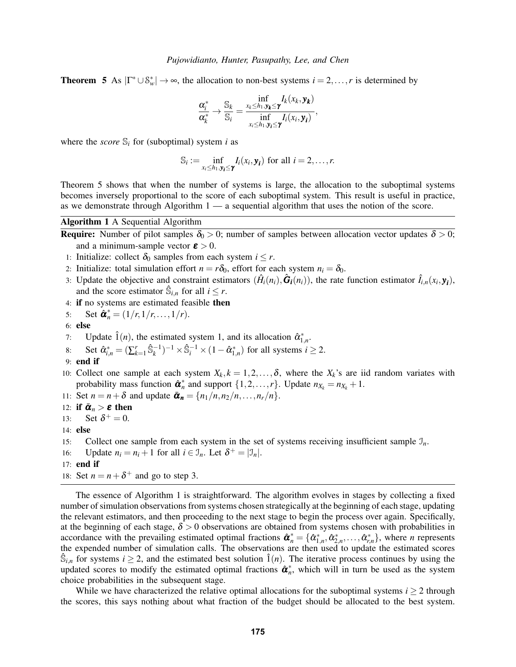**Theorem 5** As  $|\Gamma^* \cup \mathcal{S}_w^*| \to \infty$ , the allocation to non-best systems  $i = 2, ..., r$  is determined by

$$
\frac{\alpha_i^*}{\alpha_k^*} \to \frac{\mathbb{S}_k}{\mathbb{S}_i} = \frac{\inf\limits_{x_k \leq h_1, y_k \leq \gamma} I_k(x_k, y_k)}{\inf\limits_{x_i \leq h_1, y_i \leq \gamma} I_i(x_i, y_i)},
$$

where the *score*  $\mathcal{S}_i$  for (suboptimal) system *i* as

$$
\mathbb{S}_i := \inf_{x_i \leq h_1, \mathbf{y}_i \leq \mathbf{y}} I_i(x_i, \mathbf{y}_i)
$$
 for all  $i = 2, ..., r$ .

Theorem 5 shows that when the number of systems is large, the allocation to the suboptimal systems becomes inversely proportional to the score of each suboptimal system. This result is useful in practice, as we demonstrate through Algorithm 1 — a sequential algorithm that uses the notion of the score.

# Algorithm 1 A Sequential Algorithm

**Require:** Number of pilot samples  $\delta_0 > 0$ ; number of samples between allocation vector updates  $\delta > 0$ ; and a minimum-sample vector  $\boldsymbol{\varepsilon} > 0$ .

- 1: Initialize: collect  $\delta_0$  samples from each system  $i \leq r$ .
- 2: Initialize: total simulation effort  $n = r\delta_0$ , effort for each system  $n_i = \delta_0$ .
- 3: Update the objective and constraint estimators  $(\hat{H}_i(n_i), \hat{G}_i(n_i))$ , the rate function estimator  $\hat{I}_{i,n}(x_i, y_i)$ , and the score estimator  $\hat{\mathbb{S}}_{i,n}$  for all  $i \leq r$ .
- 4: if no systems are estimated feasible then

5: Set 
$$
\hat{\pmb{\alpha}}_n^* = (1/r, 1/r, ..., 1/r).
$$

6: else

- 7: Update  $\hat{1}(n)$ , the estimated system 1, and its allocation  $\hat{\alpha}_{1,n}^*$ .
- 8: Set  $\hat{\alpha}_{i,n}^* = (\sum_{k=1}^r \hat{\mathbb{S}}_k^{-1})^{-1} \times \hat{\mathbb{S}}_i^{-1} \times (1 \hat{\alpha}_{1,n}^*)$  for all systems  $i \ge 2$ .
- 9: end if
- 10: Collect one sample at each system  $X_k$ ,  $k = 1, 2, ..., \delta$ , where the  $X_k$ 's are iid random variates with probability mass function  $\hat{\boldsymbol{\alpha}}_n^*$  and support  $\{1, 2, ..., r\}$ . Update  $n_{X_k} = n_{X_k} + 1$ .

11: Set  $n = n + \delta$  and update  $\bar{\alpha}_n = \{n_1/n, n_2/n, \ldots, n_r/n\}.$ 

- 12: if  $\bar{\boldsymbol{\alpha}}_n > \boldsymbol{\varepsilon}$  then
- 13: Set  $\delta^+ = 0$ .
- 14: else
- 15: Collect one sample from each system in the set of systems receiving insufficient sample  $\mathcal{I}_n$ .
- 16: Update  $n_i = n_i + 1$  for all  $i \in \mathcal{I}_n$ . Let  $\delta^+ = |\mathcal{I}_n|$ .
- 17: end if
- 18: Set  $n = n + \delta^+$  and go to step 3.

The essence of Algorithm 1 is straightforward. The algorithm evolves in stages by collecting a fixed number of simulation observations from systems chosen strategically at the beginning of each stage, updating the relevant estimators, and then proceeding to the next stage to begin the process over again. Specifically, at the beginning of each stage,  $\delta > 0$  observations are obtained from systems chosen with probabilities in accordance with the prevailing estimated optimal fractions  $\hat{\boldsymbol{a}}_n^* = \{\hat{\alpha}_{1,n}^*, \hat{\alpha}_{2,n}^*, \dots, \hat{\alpha}_{r,n}^*\}$ , where *n* represents the expended number of simulation calls. The observations are then used to update the estimated scores  $\hat{\mathbb{S}}_{i,n}$  for systems  $i \geq 2$ , and the estimated best solution  $\hat{1}(n)$ . The iterative process continues by using the updated scores to modify the estimated optimal fractions  $\hat{\boldsymbol{a}}_n^*$ , which will in turn be used as the system choice probabilities in the subsequent stage.

While we have characterized the relative optimal allocations for the suboptimal systems  $i > 2$  through the scores, this says nothing about what fraction of the budget should be allocated to the best system.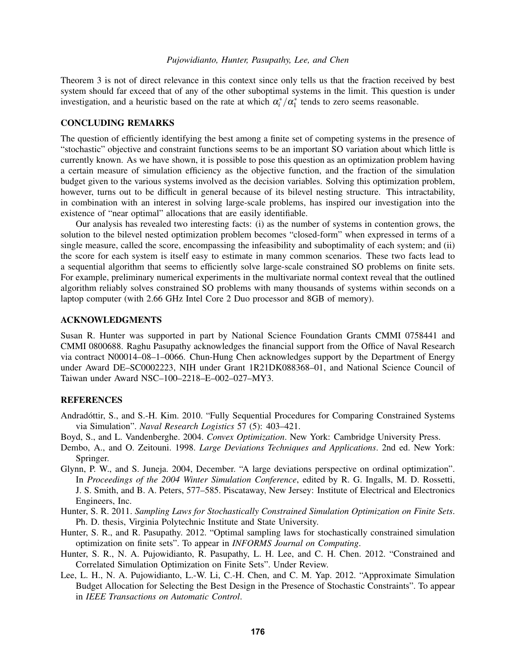## *Pujowidianto, Hunter, Pasupathy, Lee, and Chen*

Theorem 3 is not of direct relevance in this context since only tells us that the fraction received by best system should far exceed that of any of the other suboptimal systems in the limit. This question is under investigation, and a heuristic based on the rate at which  $\alpha_i^* / \alpha_1^*$  tends to zero seems reasonable.

## CONCLUDING REMARKS

The question of efficiently identifying the best among a finite set of competing systems in the presence of "stochastic" objective and constraint functions seems to be an important SO variation about which little is currently known. As we have shown, it is possible to pose this question as an optimization problem having a certain measure of simulation efficiency as the objective function, and the fraction of the simulation budget given to the various systems involved as the decision variables. Solving this optimization problem, however, turns out to be difficult in general because of its bilevel nesting structure. This intractability, in combination with an interest in solving large-scale problems, has inspired our investigation into the existence of "near optimal" allocations that are easily identifiable.

Our analysis has revealed two interesting facts: (i) as the number of systems in contention grows, the solution to the bilevel nested optimization problem becomes "closed-form" when expressed in terms of a single measure, called the score, encompassing the infeasibility and suboptimality of each system; and (ii) the score for each system is itself easy to estimate in many common scenarios. These two facts lead to a sequential algorithm that seems to efficiently solve large-scale constrained SO problems on finite sets. For example, preliminary numerical experiments in the multivariate normal context reveal that the outlined algorithm reliably solves constrained SO problems with many thousands of systems within seconds on a laptop computer (with 2.66 GHz Intel Core 2 Duo processor and 8GB of memory).

### ACKNOWLEDGMENTS

Susan R. Hunter was supported in part by National Science Foundation Grants CMMI 0758441 and CMMI 0800688. Raghu Pasupathy acknowledges the financial support from the Office of Naval Research via contract N00014–08–1–0066. Chun-Hung Chen acknowledges support by the Department of Energy under Award DE–SC0002223, NIH under Grant 1R21DK088368–01, and National Science Council of Taiwan under Award NSC–100–2218–E–002–027–MY3.

## **REFERENCES**

- Andradóttir, S., and S.-H. Kim. 2010. "Fully Sequential Procedures for Comparing Constrained Systems via Simulation". *Naval Research Logistics* 57 (5): 403–421.
- Boyd, S., and L. Vandenberghe. 2004. *Convex Optimization*. New York: Cambridge University Press.
- Dembo, A., and O. Zeitouni. 1998. *Large Deviations Techniques and Applications*. 2nd ed. New York: Springer.
- Glynn, P. W., and S. Juneja. 2004, December. "A large deviations perspective on ordinal optimization". In *Proceedings of the 2004 Winter Simulation Conference*, edited by R. G. Ingalls, M. D. Rossetti, J. S. Smith, and B. A. Peters, 577–585. Piscataway, New Jersey: Institute of Electrical and Electronics Engineers, Inc.
- Hunter, S. R. 2011. *Sampling Laws for Stochastically Constrained Simulation Optimization on Finite Sets*. Ph. D. thesis, Virginia Polytechnic Institute and State University.
- Hunter, S. R., and R. Pasupathy. 2012. "Optimal sampling laws for stochastically constrained simulation optimization on finite sets". To appear in *INFORMS Journal on Computing*.
- Hunter, S. R., N. A. Pujowidianto, R. Pasupathy, L. H. Lee, and C. H. Chen. 2012. "Constrained and Correlated Simulation Optimization on Finite Sets". Under Review.
- Lee, L. H., N. A. Pujowidianto, L.-W. Li, C.-H. Chen, and C. M. Yap. 2012. "Approximate Simulation Budget Allocation for Selecting the Best Design in the Presence of Stochastic Constraints". To appear in *IEEE Transactions on Automatic Control*.